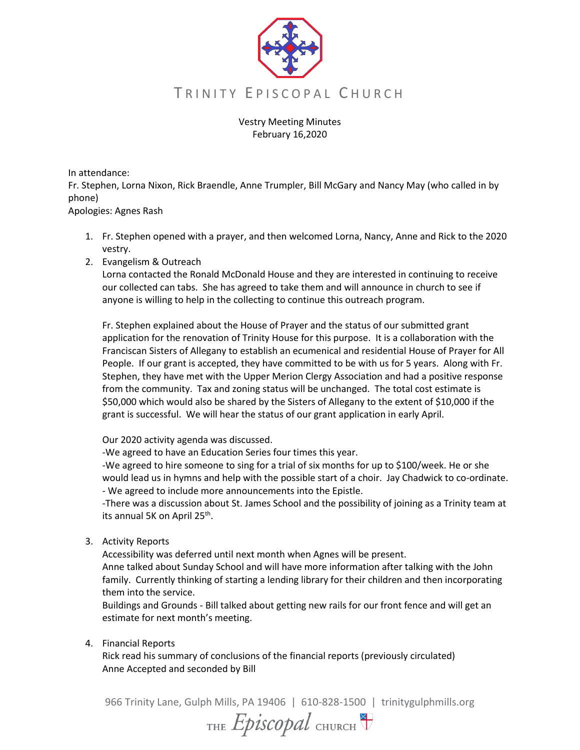

Vestry Meeting Minutes February 16,2020

In attendance:

Fr. Stephen, Lorna Nixon, Rick Braendle, Anne Trumpler, Bill McGary and Nancy May (who called in by phone)

Apologies: Agnes Rash

- 1. Fr. Stephen opened with a prayer, and then welcomed Lorna, Nancy, Anne and Rick to the 2020 vestry.
- 2. Evangelism & Outreach

Lorna contacted the Ronald McDonald House and they are interested in continuing to receive our collected can tabs. She has agreed to take them and will announce in church to see if anyone is willing to help in the collecting to continue this outreach program.

Fr. Stephen explained about the House of Prayer and the status of our submitted grant application for the renovation of Trinity House for this purpose. It is a collaboration with the Franciscan Sisters of Allegany to establish an ecumenical and residential House of Prayer for All People. If our grant is accepted, they have committed to be with us for 5 years. Along with Fr. Stephen, they have met with the Upper Merion Clergy Association and had a positive response from the community. Tax and zoning status will be unchanged. The total cost estimate is \$50,000 which would also be shared by the Sisters of Allegany to the extent of \$10,000 if the grant is successful. We will hear the status of our grant application in early April.

Our 2020 activity agenda was discussed.

-We agreed to have an Education Series four times this year.

-We agreed to hire someone to sing for a trial of six months for up to \$100/week. He or she would lead us in hymns and help with the possible start of a choir. Jay Chadwick to co-ordinate. - We agreed to include more announcements into the Epistle.

-There was a discussion about St. James School and the possibility of joining as a Trinity team at its annual 5K on April 25<sup>th</sup>.

3. Activity Reports

Accessibility was deferred until next month when Agnes will be present.

Anne talked about Sunday School and will have more information after talking with the John family. Currently thinking of starting a lending library for their children and then incorporating them into the service.

Buildings and Grounds - Bill talked about getting new rails for our front fence and will get an estimate for next month's meeting.

4. Financial Reports

Rick read his summary of conclusions of the financial reports (previously circulated) Anne Accepted and seconded by Bill

966 Trinity Lane, Gulph Mills, PA 19406 | 610-828-1500 | trinitygulphmills.org

THE *Episcopal* CHURCH